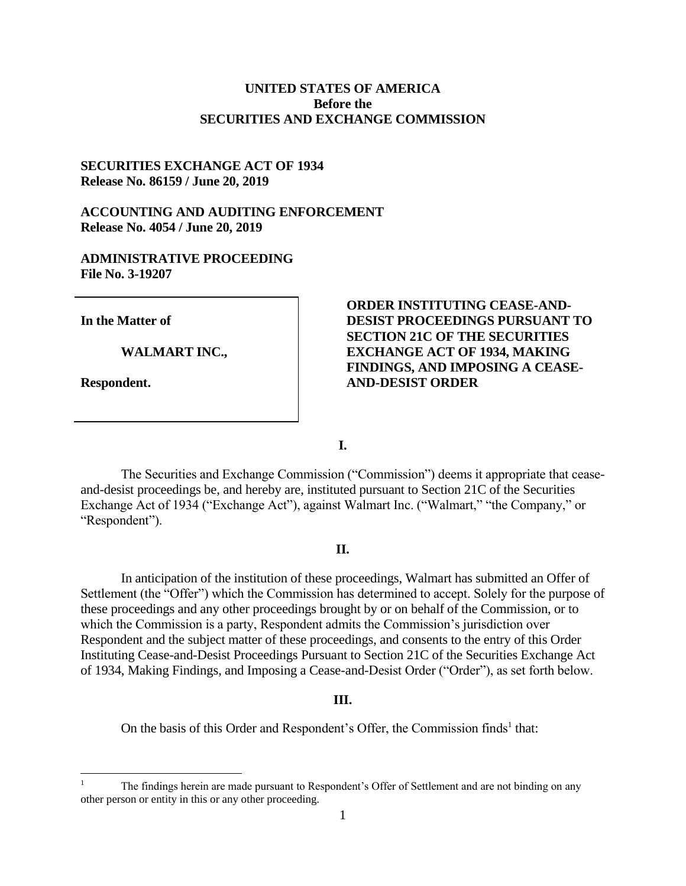# **UNITED STATES OF AMERICA Before the SECURITIES AND EXCHANGE COMMISSION**

## **SECURITIES EXCHANGE ACT OF 1934 Release No. 86159 / June 20, 2019**

## **ACCOUNTING AND AUDITING ENFORCEMENT Release No. 4054 / June 20, 2019**

# **ADMINISTRATIVE PROCEEDING File No. 3-19207**

**In the Matter of** 

**WALMART INC.,** 

**Respondent.** 

# **ORDER INSTITUTING CEASE-AND-DESIST PROCEEDINGS PURSUANT TO SECTION 21C OF THE SECURITIES EXCHANGE ACT OF 1934, MAKING FINDINGS, AND IMPOSING A CEASE-AND-DESIST ORDER**

**I.**

The Securities and Exchange Commission ("Commission") deems it appropriate that ceaseand-desist proceedings be, and hereby are, instituted pursuant to Section 21C of the Securities Exchange Act of 1934 ("Exchange Act"), against Walmart Inc. ("Walmart," "the Company," or "Respondent").

### **II.**

In anticipation of the institution of these proceedings, Walmart has submitted an Offer of Settlement (the "Offer") which the Commission has determined to accept. Solely for the purpose of these proceedings and any other proceedings brought by or on behalf of the Commission, or to which the Commission is a party, Respondent admits the Commission's jurisdiction over Respondent and the subject matter of these proceedings, and consents to the entry of this Order Instituting Cease-and-Desist Proceedings Pursuant to Section 21C of the Securities Exchange Act of 1934, Making Findings, and Imposing a Cease-and-Desist Order ("Order"), as set forth below.

#### **III.**

On the basis of this Order and Respondent's Offer, the Commission finds<sup>1</sup> that:

The findings herein are made pursuant to Respondent's Offer of Settlement and are not binding on any other person or entity in this or any other proceeding.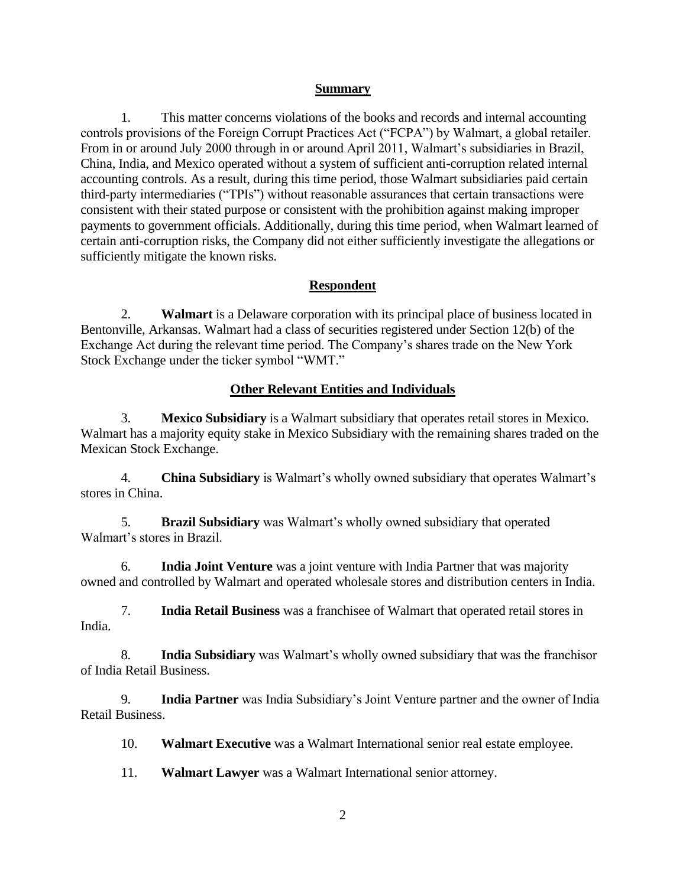### **Summary**

1. This matter concerns violations of the books and records and internal accounting controls provisions of the Foreign Corrupt Practices Act ("FCPA") by Walmart, a global retailer. From in or around July 2000 through in or around April 2011, Walmart's subsidiaries in Brazil, China, India, and Mexico operated without a system of sufficient anti-corruption related internal accounting controls. As a result, during this time period, those Walmart subsidiaries paid certain third-party intermediaries ("TPIs") without reasonable assurances that certain transactions were consistent with their stated purpose or consistent with the prohibition against making improper payments to government officials. Additionally, during this time period, when Walmart learned of certain anti-corruption risks, the Company did not either sufficiently investigate the allegations or sufficiently mitigate the known risks.

# **Respondent**

2. **Walmart** is a Delaware corporation with its principal place of business located in Bentonville, Arkansas. Walmart had a class of securities registered under Section 12(b) of the Exchange Act during the relevant time period. The Company's shares trade on the New York Stock Exchange under the ticker symbol "WMT."

# **Other Relevant Entities and Individuals**

3. **Mexico Subsidiary** is a Walmart subsidiary that operates retail stores in Mexico. Walmart has a majority equity stake in Mexico Subsidiary with the remaining shares traded on the Mexican Stock Exchange.

4. **China Subsidiary** is Walmart's wholly owned subsidiary that operates Walmart's stores in China.

5. **Brazil Subsidiary** was Walmart's wholly owned subsidiary that operated Walmart's stores in Brazil.

6. **India Joint Venture** was a joint venture with India Partner that was majority owned and controlled by Walmart and operated wholesale stores and distribution centers in India.

7. **India Retail Business** was a franchisee of Walmart that operated retail stores in India.

8. **India Subsidiary** was Walmart's wholly owned subsidiary that was the franchisor of India Retail Business.

9. **India Partner** was India Subsidiary's Joint Venture partner and the owner of India Retail Business.

10. **Walmart Executive** was a Walmart International senior real estate employee.

11. **Walmart Lawyer** was a Walmart International senior attorney.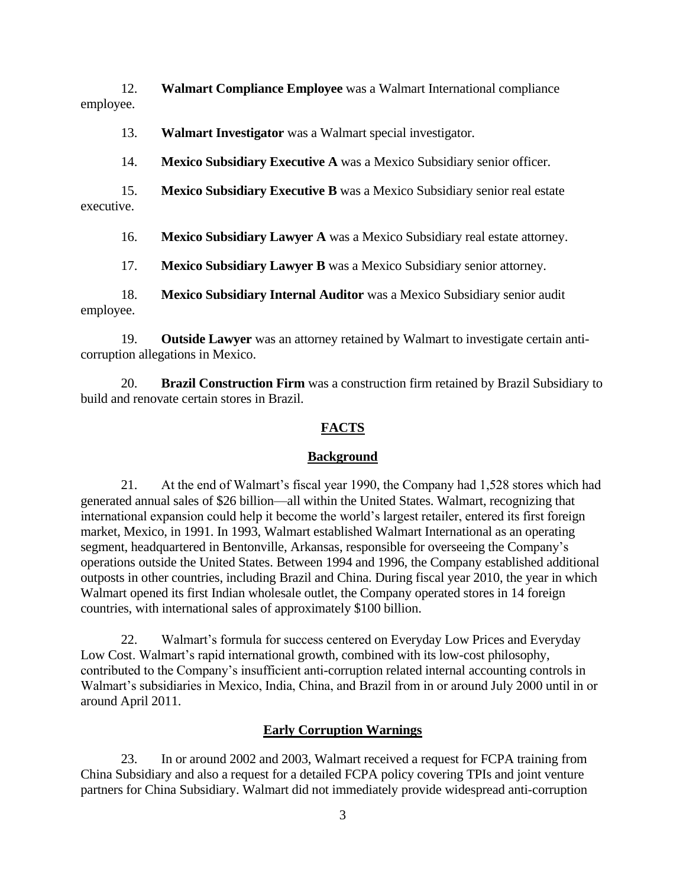12. **Walmart Compliance Employee** was a Walmart International compliance employee.

13. **Walmart Investigator** was a Walmart special investigator.

14. **Mexico Subsidiary Executive A** was a Mexico Subsidiary senior officer.

15. **Mexico Subsidiary Executive B** was a Mexico Subsidiary senior real estate executive.

16. **Mexico Subsidiary Lawyer A** was a Mexico Subsidiary real estate attorney.

17. **Mexico Subsidiary Lawyer B** was a Mexico Subsidiary senior attorney.

18. **Mexico Subsidiary Internal Auditor** was a Mexico Subsidiary senior audit employee.

19. **Outside Lawyer** was an attorney retained by Walmart to investigate certain anticorruption allegations in Mexico.

20. **Brazil Construction Firm** was a construction firm retained by Brazil Subsidiary to build and renovate certain stores in Brazil.

# **FACTS**

# **Background**

21. At the end of Walmart's fiscal year 1990, the Company had 1,528 stores which had generated annual sales of \$26 billion—all within the United States. Walmart, recognizing that international expansion could help it become the world's largest retailer, entered its first foreign market, Mexico, in 1991. In 1993, Walmart established Walmart International as an operating segment, headquartered in Bentonville, Arkansas, responsible for overseeing the Company's operations outside the United States. Between 1994 and 1996, the Company established additional outposts in other countries, including Brazil and China. During fiscal year 2010, the year in which Walmart opened its first Indian wholesale outlet, the Company operated stores in 14 foreign countries, with international sales of approximately \$100 billion.

22. Walmart's formula for success centered on Everyday Low Prices and Everyday Low Cost. Walmart's rapid international growth, combined with its low-cost philosophy, contributed to the Company's insufficient anti-corruption related internal accounting controls in Walmart's subsidiaries in Mexico, India, China, and Brazil from in or around July 2000 until in or around April 2011.

# **Early Corruption Warnings**

23. In or around 2002 and 2003, Walmart received a request for FCPA training from China Subsidiary and also a request for a detailed FCPA policy covering TPIs and joint venture partners for China Subsidiary. Walmart did not immediately provide widespread anti-corruption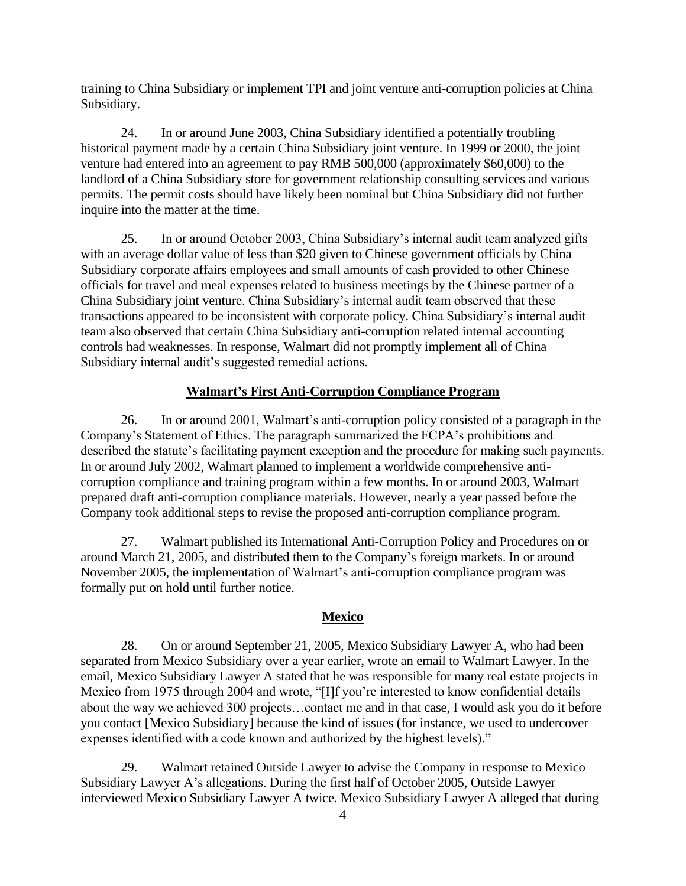training to China Subsidiary or implement TPI and joint venture anti-corruption policies at China Subsidiary.

24. In or around June 2003, China Subsidiary identified a potentially troubling historical payment made by a certain China Subsidiary joint venture. In 1999 or 2000, the joint venture had entered into an agreement to pay RMB 500,000 (approximately \$60,000) to the landlord of a China Subsidiary store for government relationship consulting services and various permits. The permit costs should have likely been nominal but China Subsidiary did not further inquire into the matter at the time.

25. In or around October 2003, China Subsidiary's internal audit team analyzed gifts with an average dollar value of less than \$20 given to Chinese government officials by China Subsidiary corporate affairs employees and small amounts of cash provided to other Chinese officials for travel and meal expenses related to business meetings by the Chinese partner of a China Subsidiary joint venture. China Subsidiary's internal audit team observed that these transactions appeared to be inconsistent with corporate policy. China Subsidiary's internal audit team also observed that certain China Subsidiary anti-corruption related internal accounting controls had weaknesses. In response, Walmart did not promptly implement all of China Subsidiary internal audit's suggested remedial actions.

#### **Walmart's First Anti-Corruption Compliance Program**

26. In or around 2001, Walmart's anti-corruption policy consisted of a paragraph in the Company's Statement of Ethics. The paragraph summarized the FCPA's prohibitions and described the statute's facilitating payment exception and the procedure for making such payments. In or around July 2002, Walmart planned to implement a worldwide comprehensive anticorruption compliance and training program within a few months. In or around 2003, Walmart prepared draft anti-corruption compliance materials. However, nearly a year passed before the Company took additional steps to revise the proposed anti-corruption compliance program.

27. Walmart published its International Anti-Corruption Policy and Procedures on or around March 21, 2005, and distributed them to the Company's foreign markets. In or around November 2005, the implementation of Walmart's anti-corruption compliance program was formally put on hold until further notice.

#### **Mexico**

28. On or around September 21, 2005, Mexico Subsidiary Lawyer A, who had been separated from Mexico Subsidiary over a year earlier, wrote an email to Walmart Lawyer. In the email, Mexico Subsidiary Lawyer A stated that he was responsible for many real estate projects in Mexico from 1975 through 2004 and wrote, "[I]f you're interested to know confidential details about the way we achieved 300 projects...contact me and in that case, I would ask you do it before you contact [Mexico Subsidiary] because the kind of issues (for instance, we used to undercover expenses identified with a code known and authorized by the highest levels)."

29. Walmart retained Outside Lawyer to advise the Company in response to Mexico Subsidiary Lawyer A's allegations. During the first half of October 2005, Outside Lawyer interviewed Mexico Subsidiary Lawyer A twice. Mexico Subsidiary Lawyer A alleged that during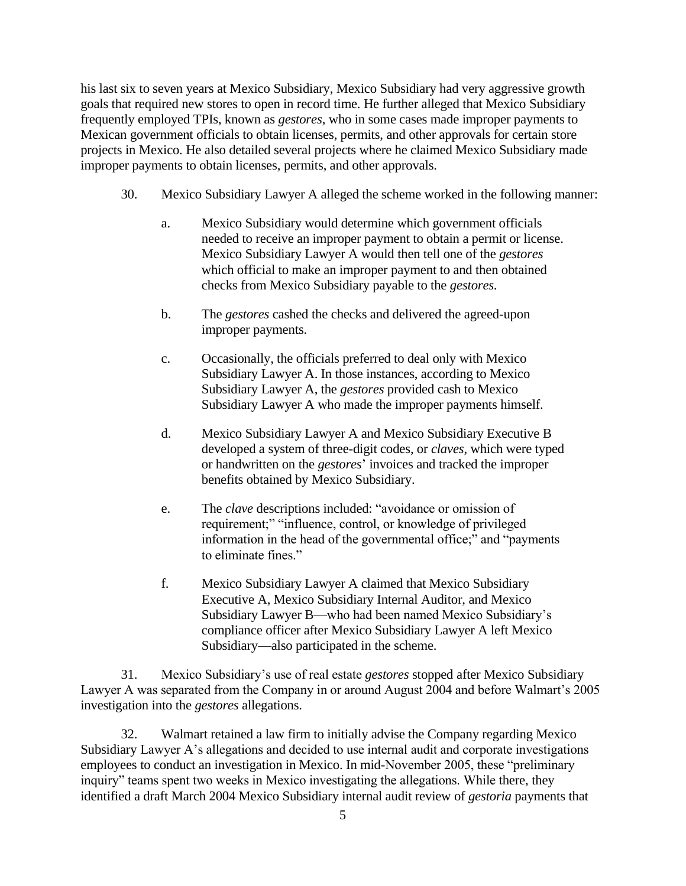his last six to seven years at Mexico Subsidiary, Mexico Subsidiary had very aggressive growth goals that required new stores to open in record time. He further alleged that Mexico Subsidiary frequently employed TPIs, known as *gestores*, who in some cases made improper payments to Mexican government officials to obtain licenses, permits, and other approvals for certain store projects in Mexico. He also detailed several projects where he claimed Mexico Subsidiary made improper payments to obtain licenses, permits, and other approvals.

- 30. Mexico Subsidiary Lawyer A alleged the scheme worked in the following manner:
	- a. Mexico Subsidiary would determine which government officials needed to receive an improper payment to obtain a permit or license. Mexico Subsidiary Lawyer A would then tell one of the *gestores* which official to make an improper payment to and then obtained checks from Mexico Subsidiary payable to the *gestores*.
	- b. The *gestores* cashed the checks and delivered the agreed-upon improper payments.
	- c. Occasionally, the officials preferred to deal only with Mexico Subsidiary Lawyer A. In those instances, according to Mexico Subsidiary Lawyer A, the *gestores* provided cash to Mexico Subsidiary Lawyer A who made the improper payments himself.
	- d. Mexico Subsidiary Lawyer A and Mexico Subsidiary Executive B developed a system of three-digit codes, or *claves*, which were typed or handwritten on the *gestores*' invoices and tracked the improper benefits obtained by Mexico Subsidiary.
	- e. The *clave* descriptions included: "avoidance or omission of requirement;" "influence, control, or knowledge of privileged information in the head of the governmental office;" and "payments" to eliminate fines."
	- f. Mexico Subsidiary Lawyer A claimed that Mexico Subsidiary Executive A, Mexico Subsidiary Internal Auditor, and Mexico Subsidiary Lawyer B—who had been named Mexico Subsidiary's compliance officer after Mexico Subsidiary Lawyer A left Mexico Subsidiary—also participated in the scheme.

31. Mexico Subsidiary's use of real estate *gestores* stopped after Mexico Subsidiary Lawyer A was separated from the Company in or around August 2004 and before Walmart's 2005 investigation into the *gestores* allegations.

32. Walmart retained a law firm to initially advise the Company regarding Mexico Subsidiary Lawyer A's allegations and decided to use internal audit and corporate investigations employees to conduct an investigation in Mexico. In mid-November 2005, these "preliminary inquiry" teams spent two weeks in Mexico investigating the allegations. While there, they identified a draft March 2004 Mexico Subsidiary internal audit review of *gestoria* payments that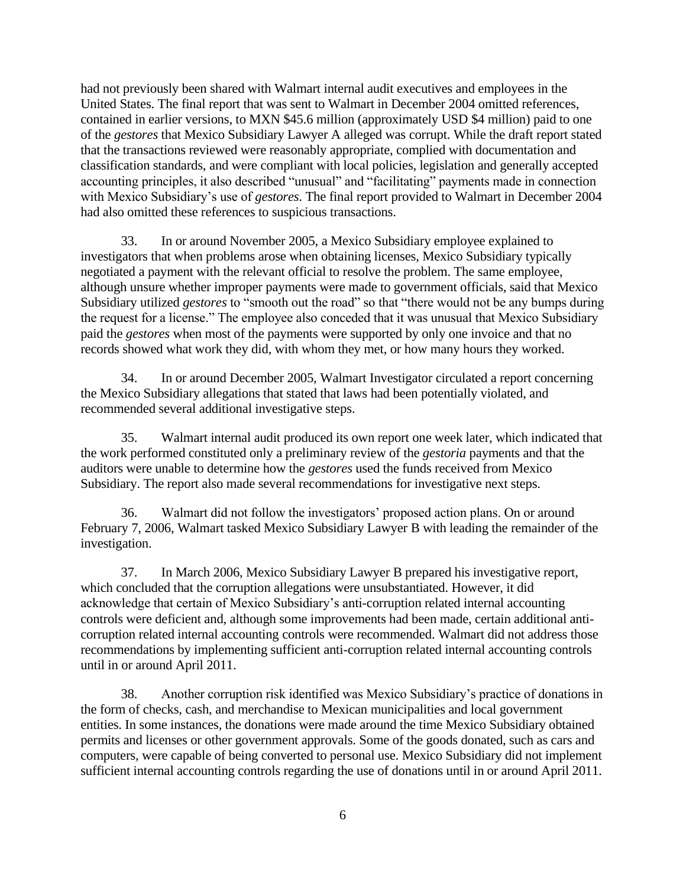had not previously been shared with Walmart internal audit executives and employees in the United States. The final report that was sent to Walmart in December 2004 omitted references, contained in earlier versions, to MXN \$45.6 million (approximately USD \$4 million) paid to one of the *gestores* that Mexico Subsidiary Lawyer A alleged was corrupt. While the draft report stated that the transactions reviewed were reasonably appropriate, complied with documentation and classification standards, and were compliant with local policies, legislation and generally accepted accounting principles, it also described "unusual" and "facilitating" payments made in connection with Mexico Subsidiary's use of *gestores*. The final report provided to Walmart in December 2004 had also omitted these references to suspicious transactions.

33. In or around November 2005, a Mexico Subsidiary employee explained to investigators that when problems arose when obtaining licenses, Mexico Subsidiary typically negotiated a payment with the relevant official to resolve the problem. The same employee, although unsure whether improper payments were made to government officials, said that Mexico Subsidiary utilized *gestores* to "smooth out the road" so that "there would not be any bumps during the request for a license." The employee also conceded that it was unusual that Mexico Subsidiary paid the *gestores* when most of the payments were supported by only one invoice and that no records showed what work they did, with whom they met, or how many hours they worked.

34. In or around December 2005, Walmart Investigator circulated a report concerning the Mexico Subsidiary allegations that stated that laws had been potentially violated, and recommended several additional investigative steps.

35. Walmart internal audit produced its own report one week later, which indicated that the work performed constituted only a preliminary review of the *gestoria* payments and that the auditors were unable to determine how the *gestores* used the funds received from Mexico Subsidiary. The report also made several recommendations for investigative next steps.

36. Walmart did not follow the investigators' proposed action plans. On or around February 7, 2006, Walmart tasked Mexico Subsidiary Lawyer B with leading the remainder of the investigation.

37. In March 2006, Mexico Subsidiary Lawyer B prepared his investigative report, which concluded that the corruption allegations were unsubstantiated. However, it did acknowledge that certain of Mexico Subsidiary's anti-corruption related internal accounting controls were deficient and, although some improvements had been made, certain additional anticorruption related internal accounting controls were recommended. Walmart did not address those recommendations by implementing sufficient anti-corruption related internal accounting controls until in or around April 2011.

38. Another corruption risk identified was Mexico Subsidiary's practice of donations in the form of checks, cash, and merchandise to Mexican municipalities and local government entities. In some instances, the donations were made around the time Mexico Subsidiary obtained permits and licenses or other government approvals. Some of the goods donated, such as cars and computers, were capable of being converted to personal use. Mexico Subsidiary did not implement sufficient internal accounting controls regarding the use of donations until in or around April 2011.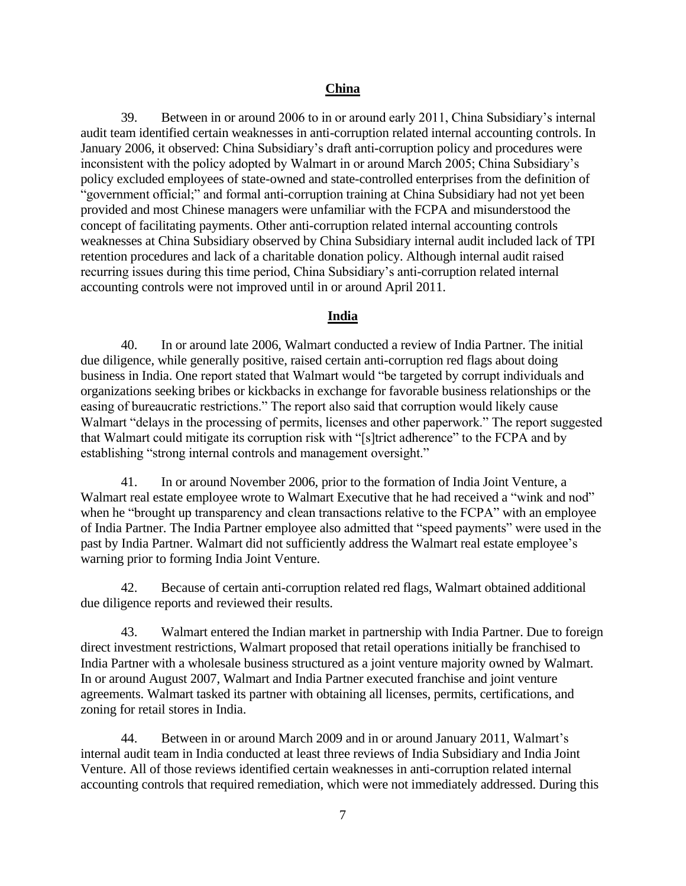## **China**

39. Between in or around 2006 to in or around early 2011, China Subsidiary's internal audit team identified certain weaknesses in anti-corruption related internal accounting controls. In January 2006, it observed: China Subsidiary's draft anti-corruption policy and procedures were inconsistent with the policy adopted by Walmart in or around March 2005; China Subsidiary's policy excluded employees of state-owned and state-controlled enterprises from the definition of "government official;" and formal anti-corruption training at China Subsidiary had not yet been provided and most Chinese managers were unfamiliar with the FCPA and misunderstood the concept of facilitating payments. Other anti-corruption related internal accounting controls weaknesses at China Subsidiary observed by China Subsidiary internal audit included lack of TPI retention procedures and lack of a charitable donation policy. Although internal audit raised recurring issues during this time period, China Subsidiary's anti-corruption related internal accounting controls were not improved until in or around April 2011.

## **India**

40. In or around late 2006, Walmart conducted a review of India Partner. The initial due diligence, while generally positive, raised certain anti-corruption red flags about doing business in India. One report stated that Walmart would "be targeted by corrupt individuals and organizations seeking bribes or kickbacks in exchange for favorable business relationships or the easing of bureaucratic restrictions." The report also said that corruption would likely cause Walmart "delays in the processing of permits, licenses and other paperwork." The report suggested that Walmart could mitigate its corruption risk with "[s]trict adherence" to the FCPA and by establishing "strong internal controls and management oversight."

41. In or around November 2006, prior to the formation of India Joint Venture, a Walmart real estate employee wrote to Walmart Executive that he had received a "wink and nod" when he "brought up transparency and clean transactions relative to the FCPA" with an employee of India Partner. The India Partner employee also admitted that "speed payments" were used in the past by India Partner. Walmart did not sufficiently address the Walmart real estate employee's warning prior to forming India Joint Venture.

42. Because of certain anti-corruption related red flags, Walmart obtained additional due diligence reports and reviewed their results.

43. Walmart entered the Indian market in partnership with India Partner. Due to foreign direct investment restrictions, Walmart proposed that retail operations initially be franchised to India Partner with a wholesale business structured as a joint venture majority owned by Walmart. In or around August 2007, Walmart and India Partner executed franchise and joint venture agreements. Walmart tasked its partner with obtaining all licenses, permits, certifications, and zoning for retail stores in India.

44. Between in or around March 2009 and in or around January 2011, Walmart's internal audit team in India conducted at least three reviews of India Subsidiary and India Joint Venture. All of those reviews identified certain weaknesses in anti-corruption related internal accounting controls that required remediation, which were not immediately addressed. During this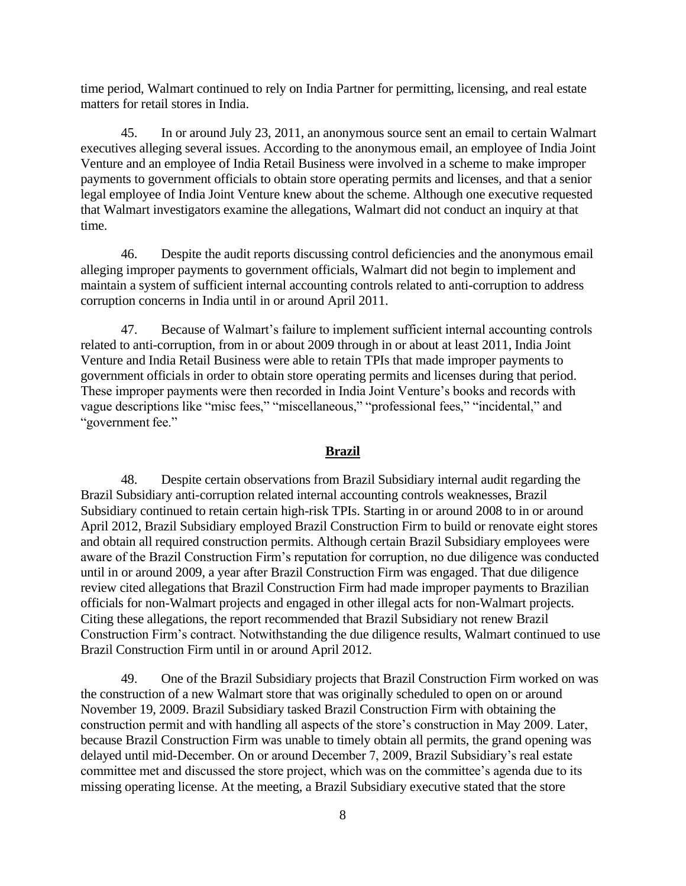time period, Walmart continued to rely on India Partner for permitting, licensing, and real estate matters for retail stores in India.

45. In or around July 23, 2011, an anonymous source sent an email to certain Walmart executives alleging several issues. According to the anonymous email, an employee of India Joint Venture and an employee of India Retail Business were involved in a scheme to make improper payments to government officials to obtain store operating permits and licenses, and that a senior legal employee of India Joint Venture knew about the scheme. Although one executive requested that Walmart investigators examine the allegations, Walmart did not conduct an inquiry at that time.

46. Despite the audit reports discussing control deficiencies and the anonymous email alleging improper payments to government officials, Walmart did not begin to implement and maintain a system of sufficient internal accounting controls related to anti-corruption to address corruption concerns in India until in or around April 2011.

47. Because of Walmart's failure to implement sufficient internal accounting controls related to anti-corruption, from in or about 2009 through in or about at least 2011, India Joint Venture and India Retail Business were able to retain TPIs that made improper payments to government officials in order to obtain store operating permits and licenses during that period. These improper payments were then recorded in India Joint Venture's books and records with vague descriptions like "misc fees," "miscellaneous," "professional fees," "incidental," and "government fee."

#### **Brazil**

48. Despite certain observations from Brazil Subsidiary internal audit regarding the Brazil Subsidiary anti-corruption related internal accounting controls weaknesses, Brazil Subsidiary continued to retain certain high-risk TPIs. Starting in or around 2008 to in or around April 2012, Brazil Subsidiary employed Brazil Construction Firm to build or renovate eight stores and obtain all required construction permits. Although certain Brazil Subsidiary employees were aware of the Brazil Construction Firm's reputation for corruption, no due diligence was conducted until in or around 2009, a year after Brazil Construction Firm was engaged. That due diligence review cited allegations that Brazil Construction Firm had made improper payments to Brazilian officials for non-Walmart projects and engaged in other illegal acts for non-Walmart projects. Citing these allegations, the report recommended that Brazil Subsidiary not renew Brazil Construction Firm's contract. Notwithstanding the due diligence results, Walmart continued to use Brazil Construction Firm until in or around April 2012.

49. One of the Brazil Subsidiary projects that Brazil Construction Firm worked on was the construction of a new Walmart store that was originally scheduled to open on or around November 19, 2009. Brazil Subsidiary tasked Brazil Construction Firm with obtaining the construction permit and with handling all aspects of the store's construction in May 2009. Later, because Brazil Construction Firm was unable to timely obtain all permits, the grand opening was delayed until mid-December. On or around December 7, 2009, Brazil Subsidiary's real estate committee met and discussed the store project, which was on the committee's agenda due to its missing operating license. At the meeting, a Brazil Subsidiary executive stated that the store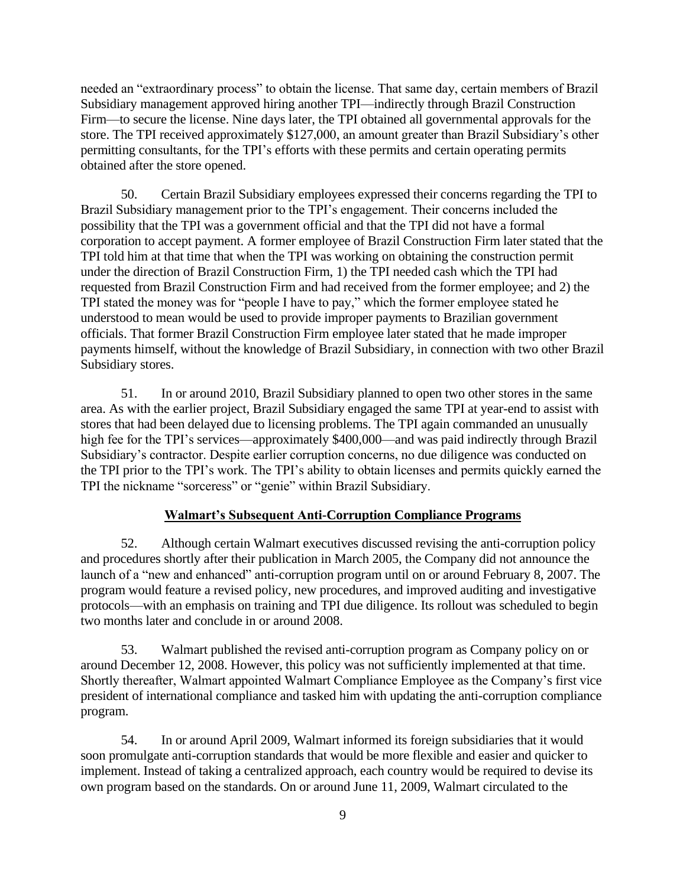needed an "extraordinary process" to obtain the license. That same day, certain members of Brazil Subsidiary management approved hiring another TPI—indirectly through Brazil Construction Firm—to secure the license. Nine days later, the TPI obtained all governmental approvals for the store. The TPI received approximately \$127,000, an amount greater than Brazil Subsidiary's other permitting consultants, for the TPI's efforts with these permits and certain operating permits obtained after the store opened.

50. Certain Brazil Subsidiary employees expressed their concerns regarding the TPI to Brazil Subsidiary management prior to the TPI's engagement. Their concerns included the possibility that the TPI was a government official and that the TPI did not have a formal corporation to accept payment. A former employee of Brazil Construction Firm later stated that the TPI told him at that time that when the TPI was working on obtaining the construction permit under the direction of Brazil Construction Firm, 1) the TPI needed cash which the TPI had requested from Brazil Construction Firm and had received from the former employee; and 2) the TPI stated the money was for "people I have to pay," which the former employee stated he understood to mean would be used to provide improper payments to Brazilian government officials. That former Brazil Construction Firm employee later stated that he made improper payments himself, without the knowledge of Brazil Subsidiary, in connection with two other Brazil Subsidiary stores.

51. In or around 2010, Brazil Subsidiary planned to open two other stores in the same area. As with the earlier project, Brazil Subsidiary engaged the same TPI at year-end to assist with stores that had been delayed due to licensing problems. The TPI again commanded an unusually high fee for the TPI's services—approximately \$400,000—and was paid indirectly through Brazil Subsidiary's contractor. Despite earlier corruption concerns, no due diligence was conducted on the TPI prior to the TPI's work. The TPI's ability to obtain licenses and permits quickly earned the TPI the nickname "sorceress" or "genie" within Brazil Subsidiary.

### **Walmart's Subsequent Anti-Corruption Compliance Programs**

52. Although certain Walmart executives discussed revising the anti-corruption policy and procedures shortly after their publication in March 2005, the Company did not announce the launch of a "new and enhanced" anti-corruption program until on or around February 8, 2007. The program would feature a revised policy, new procedures, and improved auditing and investigative protocols—with an emphasis on training and TPI due diligence. Its rollout was scheduled to begin two months later and conclude in or around 2008.

53. Walmart published the revised anti-corruption program as Company policy on or around December 12, 2008. However, this policy was not sufficiently implemented at that time. Shortly thereafter, Walmart appointed Walmart Compliance Employee as the Company's first vice president of international compliance and tasked him with updating the anti-corruption compliance program.

54. In or around April 2009, Walmart informed its foreign subsidiaries that it would soon promulgate anti-corruption standards that would be more flexible and easier and quicker to implement. Instead of taking a centralized approach, each country would be required to devise its own program based on the standards. On or around June 11, 2009, Walmart circulated to the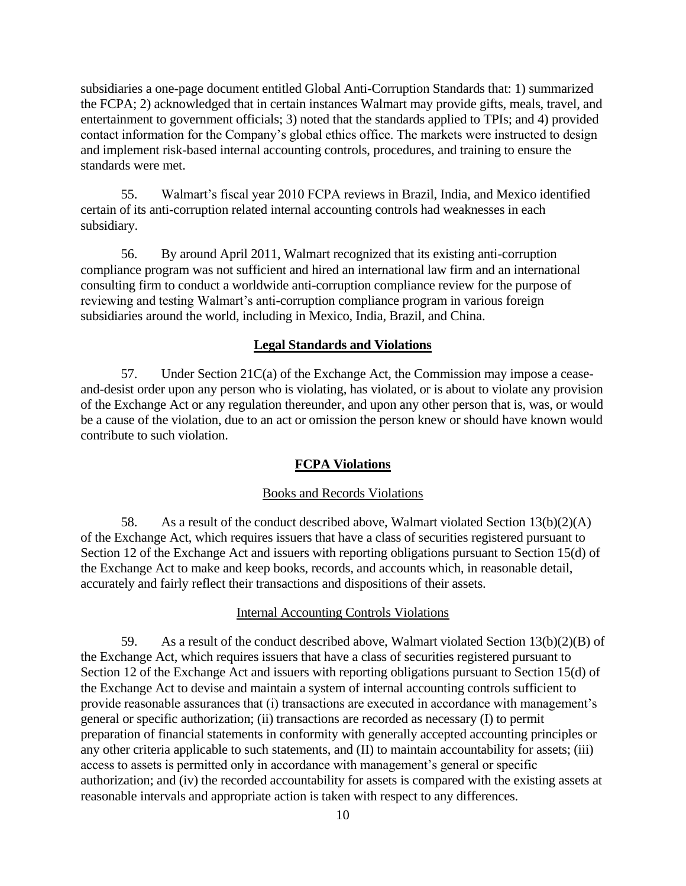subsidiaries a one-page document entitled Global Anti-Corruption Standards that: 1) summarized the FCPA; 2) acknowledged that in certain instances Walmart may provide gifts, meals, travel, and entertainment to government officials; 3) noted that the standards applied to TPIs; and 4) provided contact information for the Company's global ethics office. The markets were instructed to design and implement risk-based internal accounting controls, procedures, and training to ensure the standards were met.

55. Walmart's fiscal year 2010 FCPA reviews in Brazil, India, and Mexico identified certain of its anti-corruption related internal accounting controls had weaknesses in each subsidiary.

56. By around April 2011, Walmart recognized that its existing anti-corruption compliance program was not sufficient and hired an international law firm and an international consulting firm to conduct a worldwide anti-corruption compliance review for the purpose of reviewing and testing Walmart's anti-corruption compliance program in various foreign subsidiaries around the world, including in Mexico, India, Brazil, and China.

## **Legal Standards and Violations**

57. Under Section 21C(a) of the Exchange Act, the Commission may impose a ceaseand-desist order upon any person who is violating, has violated, or is about to violate any provision of the Exchange Act or any regulation thereunder, and upon any other person that is, was, or would be a cause of the violation, due to an act or omission the person knew or should have known would contribute to such violation.

#### **FCPA Violations**

#### Books and Records Violations

58. As a result of the conduct described above, Walmart violated Section  $13(b)(2)(A)$ of the Exchange Act, which requires issuers that have a class of securities registered pursuant to Section 12 of the Exchange Act and issuers with reporting obligations pursuant to Section 15(d) of the Exchange Act to make and keep books, records, and accounts which, in reasonable detail, accurately and fairly reflect their transactions and dispositions of their assets.

#### Internal Accounting Controls Violations

59. As a result of the conduct described above, Walmart violated Section 13(b)(2)(B) of the Exchange Act, which requires issuers that have a class of securities registered pursuant to Section 12 of the Exchange Act and issuers with reporting obligations pursuant to Section 15(d) of the Exchange Act to devise and maintain a system of internal accounting controls sufficient to provide reasonable assurances that (i) transactions are executed in accordance with management's general or specific authorization; (ii) transactions are recorded as necessary (I) to permit preparation of financial statements in conformity with generally accepted accounting principles or any other criteria applicable to such statements, and (II) to maintain accountability for assets; (iii) access to assets is permitted only in accordance with management's general or specific authorization; and (iv) the recorded accountability for assets is compared with the existing assets at reasonable intervals and appropriate action is taken with respect to any differences.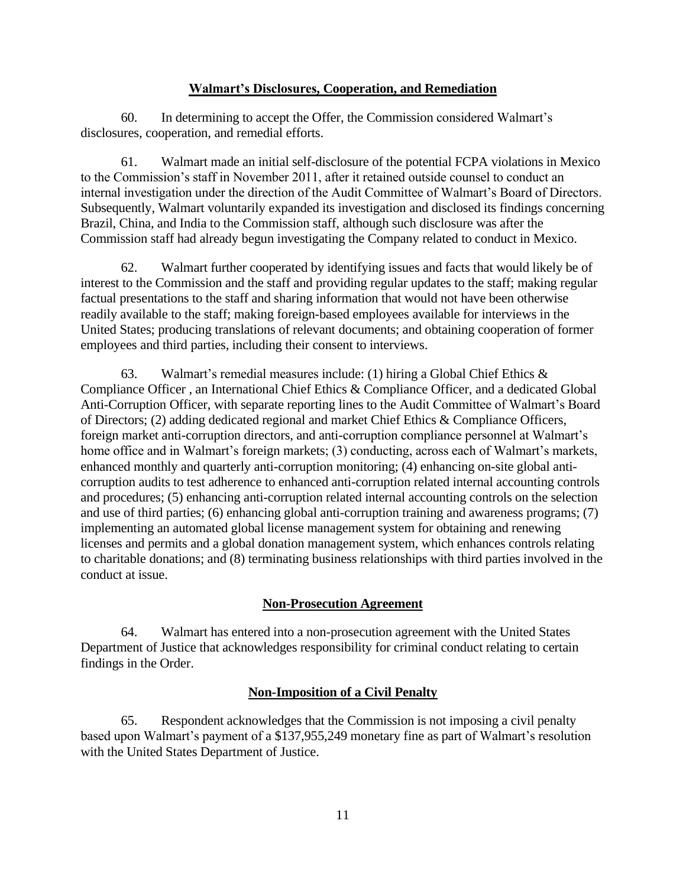## **Walmart's Disclosures, Cooperation, and Remediation**

60. In determining to accept the Offer, the Commission considered Walmart's disclosures, cooperation, and remedial efforts.

61. Walmart made an initial self-disclosure of the potential FCPA violations in Mexico to the Commission's staff in November 2011, after it retained outside counsel to conduct an internal investigation under the direction of the Audit Committee of Walmart's Board of Directors. Subsequently, Walmart voluntarily expanded its investigation and disclosed its findings concerning Brazil, China, and India to the Commission staff, although such disclosure was after the Commission staff had already begun investigating the Company related to conduct in Mexico.

62. Walmart further cooperated by identifying issues and facts that would likely be of interest to the Commission and the staff and providing regular updates to the staff; making regular factual presentations to the staff and sharing information that would not have been otherwise readily available to the staff; making foreign-based employees available for interviews in the United States; producing translations of relevant documents; and obtaining cooperation of former employees and third parties, including their consent to interviews.

63. Walmart's remedial measures include: (1) hiring a Global Chief Ethics  $\&$ Compliance Officer , an International Chief Ethics & Compliance Officer, and a dedicated Global Anti-Corruption Officer, with separate reporting lines to the Audit Committee of Walmart's Board of Directors; (2) adding dedicated regional and market Chief Ethics & Compliance Officers, foreign market anti-corruption directors, and anti-corruption compliance personnel at Walmart's home office and in Walmart's foreign markets; (3) conducting, across each of Walmart's markets, enhanced monthly and quarterly anti-corruption monitoring; (4) enhancing on-site global anticorruption audits to test adherence to enhanced anti-corruption related internal accounting controls and procedures; (5) enhancing anti-corruption related internal accounting controls on the selection and use of third parties; (6) enhancing global anti-corruption training and awareness programs; (7) implementing an automated global license management system for obtaining and renewing licenses and permits and a global donation management system, which enhances controls relating to charitable donations; and (8) terminating business relationships with third parties involved in the conduct at issue.

# **Non-Prosecution Agreement**

64. Walmart has entered into a non-prosecution agreement with the United States Department of Justice that acknowledges responsibility for criminal conduct relating to certain findings in the Order.

# **Non-Imposition of a Civil Penalty**

65. Respondent acknowledges that the Commission is not imposing a civil penalty based upon Walmart's payment of a \$137,955,249 monetary fine as part of Walmart's resolution with the United States Department of Justice.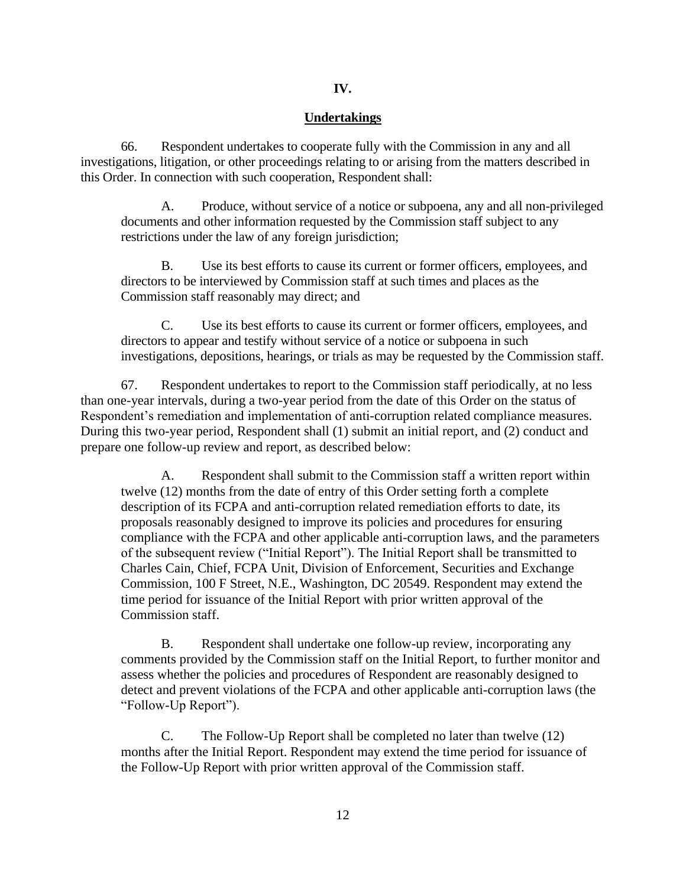# **IV.**

# **Undertakings**

66. Respondent undertakes to cooperate fully with the Commission in any and all investigations, litigation, or other proceedings relating to or arising from the matters described in this Order. In connection with such cooperation, Respondent shall:

A. Produce, without service of a notice or subpoena, any and all non-privileged documents and other information requested by the Commission staff subject to any restrictions under the law of any foreign jurisdiction;

B. Use its best efforts to cause its current or former officers, employees, and directors to be interviewed by Commission staff at such times and places as the Commission staff reasonably may direct; and

C. Use its best efforts to cause its current or former officers, employees, and directors to appear and testify without service of a notice or subpoena in such investigations, depositions, hearings, or trials as may be requested by the Commission staff.

67. Respondent undertakes to report to the Commission staff periodically, at no less than one-year intervals, during a two-year period from the date of this Order on the status of Respondent's remediation and implementation of anti-corruption related compliance measures. During this two-year period, Respondent shall (1) submit an initial report, and (2) conduct and prepare one follow-up review and report, as described below:

A. Respondent shall submit to the Commission staff a written report within twelve (12) months from the date of entry of this Order setting forth a complete description of its FCPA and anti-corruption related remediation efforts to date, its proposals reasonably designed to improve its policies and procedures for ensuring compliance with the FCPA and other applicable anti-corruption laws, and the parameters of the subsequent review ("Initial Report"). The Initial Report shall be transmitted to Charles Cain, Chief, FCPA Unit, Division of Enforcement, Securities and Exchange Commission, 100 F Street, N.E., Washington, DC 20549. Respondent may extend the time period for issuance of the Initial Report with prior written approval of the Commission staff.

B. Respondent shall undertake one follow-up review, incorporating any comments provided by the Commission staff on the Initial Report, to further monitor and assess whether the policies and procedures of Respondent are reasonably designed to detect and prevent violations of the FCPA and other applicable anti-corruption laws (the "Follow-Up Report").

C. The Follow-Up Report shall be completed no later than twelve (12) months after the Initial Report. Respondent may extend the time period for issuance of the Follow-Up Report with prior written approval of the Commission staff.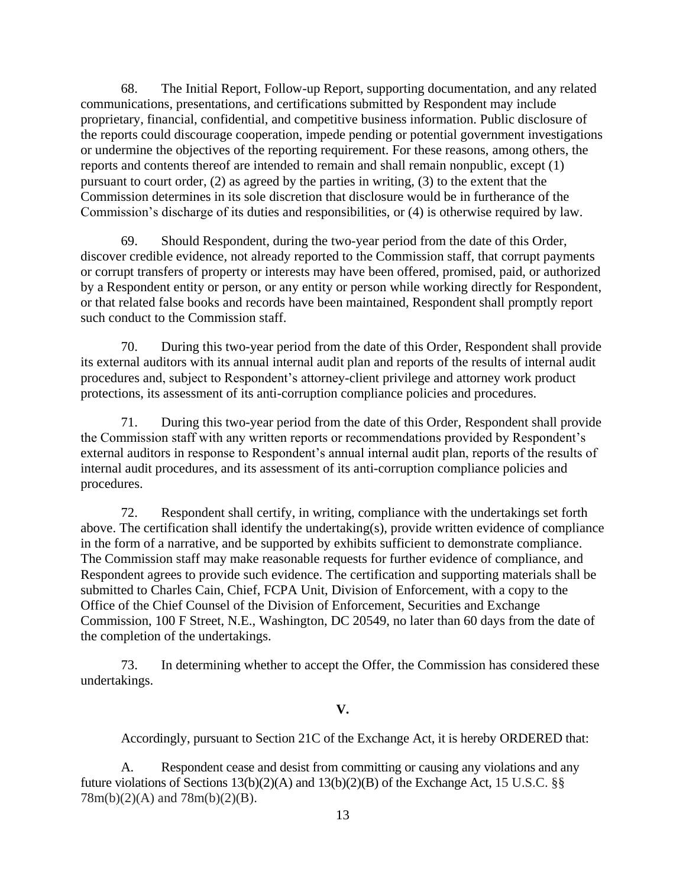68. The Initial Report, Follow-up Report, supporting documentation, and any related communications, presentations, and certifications submitted by Respondent may include proprietary, financial, confidential, and competitive business information. Public disclosure of the reports could discourage cooperation, impede pending or potential government investigations or undermine the objectives of the reporting requirement. For these reasons, among others, the reports and contents thereof are intended to remain and shall remain nonpublic, except (1) pursuant to court order, (2) as agreed by the parties in writing, (3) to the extent that the Commission determines in its sole discretion that disclosure would be in furtherance of the Commission's discharge of its duties and responsibilities, or  $(4)$  is otherwise required by law.

69. Should Respondent, during the two-year period from the date of this Order, discover credible evidence, not already reported to the Commission staff, that corrupt payments or corrupt transfers of property or interests may have been offered, promised, paid, or authorized by a Respondent entity or person, or any entity or person while working directly for Respondent, or that related false books and records have been maintained, Respondent shall promptly report such conduct to the Commission staff.

70. During this two-year period from the date of this Order, Respondent shall provide its external auditors with its annual internal audit plan and reports of the results of internal audit procedures and, subject to Respondent's attorney-client privilege and attorney work product protections, its assessment of its anti-corruption compliance policies and procedures.

71. During this two-year period from the date of this Order, Respondent shall provide the Commission staff with any written reports or recommendations provided by Respondent's external auditors in response to Respondent's annual internal audit plan, reports of the results of internal audit procedures, and its assessment of its anti-corruption compliance policies and procedures.

72. Respondent shall certify, in writing, compliance with the undertakings set forth above. The certification shall identify the undertaking(s), provide written evidence of compliance in the form of a narrative, and be supported by exhibits sufficient to demonstrate compliance. The Commission staff may make reasonable requests for further evidence of compliance, and Respondent agrees to provide such evidence. The certification and supporting materials shall be submitted to Charles Cain, Chief, FCPA Unit, Division of Enforcement, with a copy to the Office of the Chief Counsel of the Division of Enforcement, Securities and Exchange Commission, 100 F Street, N.E., Washington, DC 20549, no later than 60 days from the date of the completion of the undertakings.

73. In determining whether to accept the Offer, the Commission has considered these undertakings.

# **V.**

Accordingly, pursuant to Section 21C of the Exchange Act, it is hereby ORDERED that:

A. Respondent cease and desist from committing or causing any violations and any future violations of Sections  $13(b)(2)(A)$  and  $13(b)(2)(B)$  of the Exchange Act, 15 U.S.C. §§ 78m(b)(2)(A) and 78m(b)(2)(B).